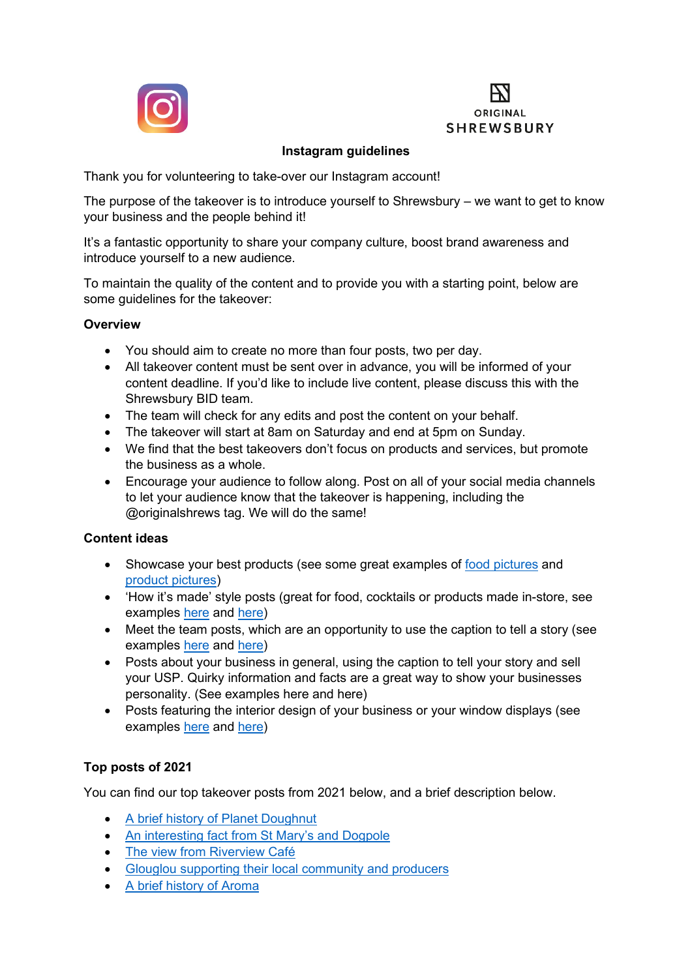



# **Instagram guidelines**

Thank you for volunteering to take-over our Instagram account!

The purpose of the takeover is to introduce yourself to Shrewsbury – we want to get to know your business and the people behind it!

It's a fantastic opportunity to share your company culture, boost brand awareness and introduce yourself to a new audience.

To maintain the quality of the content and to provide you with a starting point, below are some guidelines for the takeover:

## **Overview**

- You should aim to create no more than four posts, two per day.
- All takeover content must be sent over in advance, you will be informed of your content deadline. If you'd like to include live content, please discuss this with the Shrewsbury BID team.
- The team will check for any edits and post the content on your behalf.
- The takeover will start at 8am on Saturday and end at 5pm on Sunday.
- We find that the best takeovers don't focus on products and services, but promote the business as a whole.
- Encourage your audience to follow along. Post on all of your social media channels to let your audience know that the takeover is happening, including the @originalshrews tag. We will do the same!

## **Content ideas**

- Showcase your best products (see some great examples of [food pictures](https://www.instagram.com/p/BQ5Y69mAZNK/?taken-by=canadagram) and [product pictures\)](https://www.instagram.com/p/BRqdy3DDjKN/?taken-by=writehereltd&hl=en)
- 'How it's made' style posts (great for food, cocktails or products made in-store, see examples [here](https://www.instagram.com/p/BRMEjBwAX1Y/) and [here\)](https://www.instagram.com/p/BRopQ5KBRu_/?tagged=howitsmade&hl=en)
- Meet the team posts, which are an opportunity to use the caption to tell a story (see examples [here](https://www.instagram.com/p/BRqc8NbljXv/?tagged=meettheteam&hl=en) and [here\)](https://www.instagram.com/p/BRsYqP0hYMT/?tagged=meettheteam&hl=en)
- Posts about your business in general, using the caption to tell your story and sell your USP. Quirky information and facts are a great way to show your businesses personality. (See examples here and here)
- Posts featuring the interior design of your business or your window displays (see examples [here](https://www.instagram.com/p/BRppyf5gJq1/?taken-at=217610218) and [here\)](https://www.instagram.com/p/BRqeB41g7EE/?taken-by=tanners.wines&hl=en)

## **Top posts of 2021**

You can find our top takeover posts from 2021 below, and a brief description below.

- [A brief history of Planet Doughnut](https://www.instagram.com/p/CVCrJtwIO7T/)
- [An interesting fact from St Mary's and Dogpole](https://www.instagram.com/p/CUw-Kh-IDWI/)
- [The view from Riverview Café](https://www.instagram.com/p/COUqYf7scOK/)
- [Glouglou supporting their local community](https://www.instagram.com/p/CQQltZlnIOK/) and producers
- [A brief history of Aroma](https://www.instagram.com/p/CSmP5q0Ikst/)